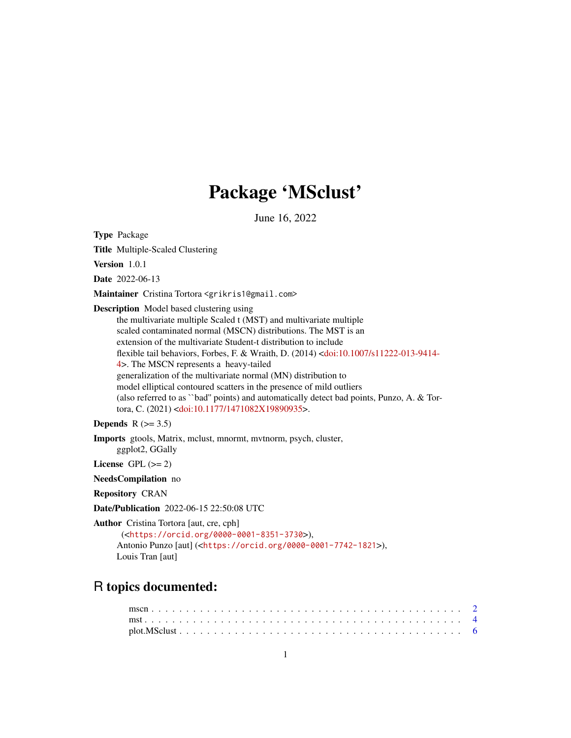## Package 'MSclust'

June 16, 2022

<span id="page-0-0"></span>Type Package Title Multiple-Scaled Clustering Version 1.0.1 Date 2022-06-13 Maintainer Cristina Tortora <grikris1@gmail.com> Description Model based clustering using the multivariate multiple Scaled t (MST) and multivariate multiple scaled contaminated normal (MSCN) distributions. The MST is an extension of the multivariate Student-t distribution to include flexible tail behaviors, Forbes, F. & Wraith, D. (2014) [<doi:10.1007/s11222-013-9414-](https://doi.org/10.1007/s11222-013-9414-4) [4>](https://doi.org/10.1007/s11222-013-9414-4). The MSCN represents a heavy-tailed generalization of the multivariate normal (MN) distribution to model elliptical contoured scatters in the presence of mild outliers (also referred to as ``bad'' points) and automatically detect bad points, Punzo, A. & Tortora, C. (2021) [<doi:10.1177/1471082X19890935>](https://doi.org/10.1177/1471082X19890935).

#### Depends  $R$  ( $>= 3.5$ )

Imports gtools, Matrix, mclust, mnormt, mvtnorm, psych, cluster, ggplot2, GGally

License GPL  $(>= 2)$ 

NeedsCompilation no

Repository CRAN

Date/Publication 2022-06-15 22:50:08 UTC

Author Cristina Tortora [aut, cre, cph]

```
(<https://orcid.org/0000-0001-8351-3730>),
Antonio Punzo [aut] (<https://orcid.org/0000-0001-7742-1821>),
Louis Tran [aut]
```
### R topics documented: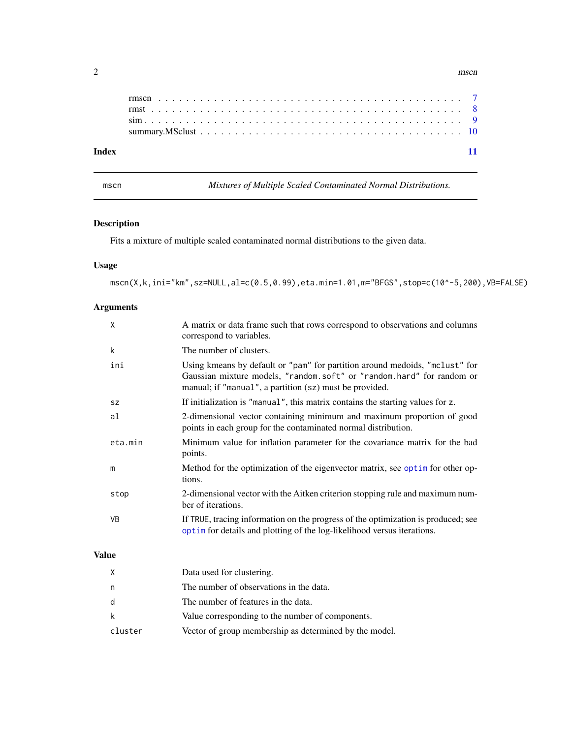#### <span id="page-1-0"></span> $2 \times 2$

| Index |  |
|-------|--|

mscn *Mixtures of Multiple Scaled Contaminated Normal Distributions.*

#### Description

Fits a mixture of multiple scaled contaminated normal distributions to the given data.

#### Usage

mscn(X,k,ini="km",sz=NULL,al=c(0.5,0.99),eta.min=1.01,m="BFGS",stop=c(10^-5,200),VB=FALSE)

#### Arguments

| $\mathsf{x}$ | A matrix or data frame such that rows correspond to observations and columns<br>correspond to variables.                                                                                                        |
|--------------|-----------------------------------------------------------------------------------------------------------------------------------------------------------------------------------------------------------------|
| k            | The number of clusters.                                                                                                                                                                                         |
| ini          | Using kmeans by default or "pam" for partition around medoids, "mclust" for<br>Gaussian mixture models, "random.soft" or "random.hard" for random or<br>manual; if "manual", a partition (sz) must be provided. |
| <b>SZ</b>    | If initialization is "manual", this matrix contains the starting values for z.                                                                                                                                  |
| al           | 2-dimensional vector containing minimum and maximum proportion of good<br>points in each group for the contaminated normal distribution.                                                                        |
| eta.min      | Minimum value for inflation parameter for the covariance matrix for the bad<br>points.                                                                                                                          |
| m            | Method for the optimization of the eigenvector matrix, see optim for other op-<br>tions.                                                                                                                        |
| stop         | 2-dimensional vector with the Aitken criterion stopping rule and maximum num-<br>ber of iterations.                                                                                                             |
| VB.          | If TRUE, tracing information on the progress of the optimization is produced; see<br>optim for details and plotting of the log-likelihood versus iterations.                                                    |
|              |                                                                                                                                                                                                                 |

#### Value

| X       | Data used for clustering.                              |
|---------|--------------------------------------------------------|
| n       | The number of observations in the data.                |
| d       | The number of features in the data.                    |
| k       | Value corresponding to the number of components.       |
| cluster | Vector of group membership as determined by the model. |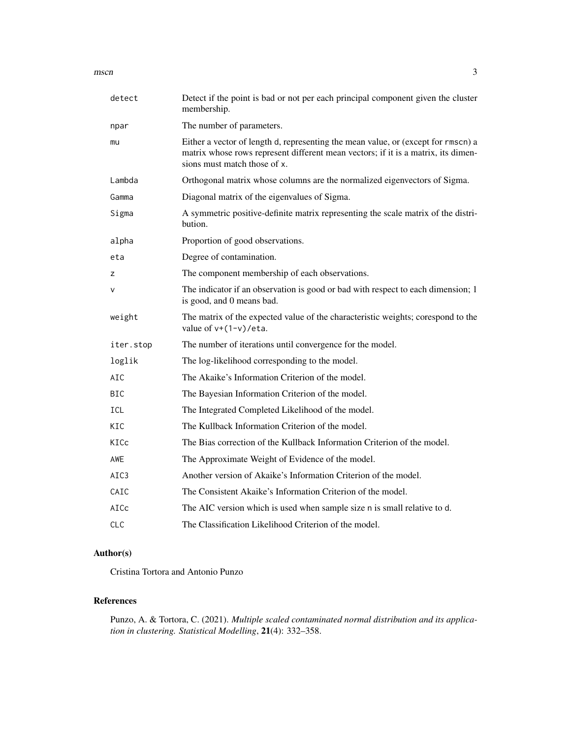$\frac{1}{3}$ 

| detect     | Detect if the point is bad or not per each principal component given the cluster<br>membership.                                                                                                        |
|------------|--------------------------------------------------------------------------------------------------------------------------------------------------------------------------------------------------------|
| npar       | The number of parameters.                                                                                                                                                                              |
| mu         | Either a vector of length d, representing the mean value, or (except for rmscn) a<br>matrix whose rows represent different mean vectors; if it is a matrix, its dimen-<br>sions must match those of x. |
| Lambda     | Orthogonal matrix whose columns are the normalized eigenvectors of Sigma.                                                                                                                              |
| Gamma      | Diagonal matrix of the eigenvalues of Sigma.                                                                                                                                                           |
| Sigma      | A symmetric positive-definite matrix representing the scale matrix of the distri-<br>bution.                                                                                                           |
| alpha      | Proportion of good observations.                                                                                                                                                                       |
| eta        | Degree of contamination.                                                                                                                                                                               |
| z          | The component membership of each observations.                                                                                                                                                         |
| v          | The indicator if an observation is good or bad with respect to each dimension; 1<br>is good, and 0 means bad.                                                                                          |
| weight     | The matrix of the expected value of the characteristic weights; corespond to the<br>value of $v+(1-v)/eta$ .                                                                                           |
| iter.stop  | The number of iterations until convergence for the model.                                                                                                                                              |
| loglik     | The log-likelihood corresponding to the model.                                                                                                                                                         |
| AIC        | The Akaike's Information Criterion of the model.                                                                                                                                                       |
| <b>BIC</b> | The Bayesian Information Criterion of the model.                                                                                                                                                       |
| <b>ICL</b> | The Integrated Completed Likelihood of the model.                                                                                                                                                      |
| KIC        | The Kullback Information Criterion of the model.                                                                                                                                                       |
| KICc       | The Bias correction of the Kullback Information Criterion of the model.                                                                                                                                |
| AWE        | The Approximate Weight of Evidence of the model.                                                                                                                                                       |
| AIC3       | Another version of Akaike's Information Criterion of the model.                                                                                                                                        |
| CAIC       | The Consistent Akaike's Information Criterion of the model.                                                                                                                                            |
| AICc       | The AIC version which is used when sample size n is small relative to d.                                                                                                                               |
| <b>CLC</b> | The Classification Likelihood Criterion of the model.                                                                                                                                                  |

#### Author(s)

Cristina Tortora and Antonio Punzo

#### References

Punzo, A. & Tortora, C. (2021). *Multiple scaled contaminated normal distribution and its application in clustering. Statistical Modelling*, 21(4): 332–358.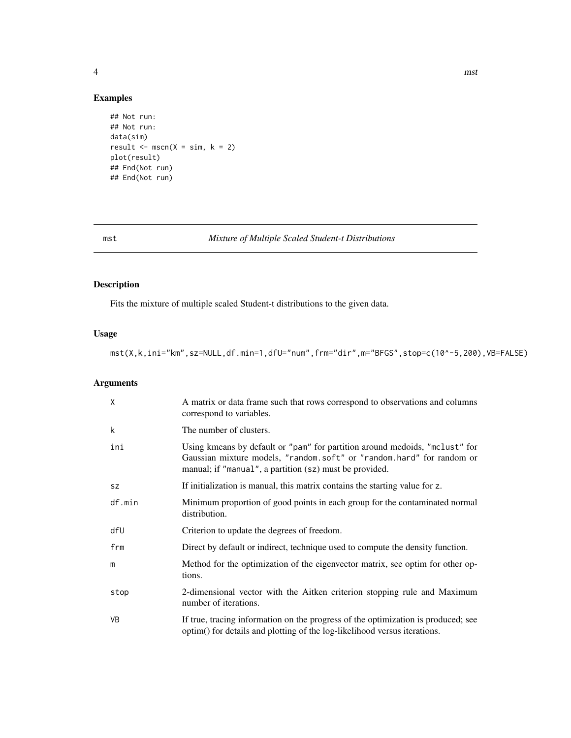<span id="page-3-0"></span>

#### Examples

```
## Not run:
## Not run:
data(sim)
result \leq -\text{mscn}(X = \text{sim}, k = 2)plot(result)
## End(Not run)
## End(Not run)
```
#### mst *Mixture of Multiple Scaled Student-t Distributions*

#### Description

Fits the mixture of multiple scaled Student-t distributions to the given data.

#### Usage

mst(X,k,ini="km",sz=NULL,df.min=1,dfU="num",frm="dir",m="BFGS",stop=c(10^-5,200),VB=FALSE)

#### Arguments

| X         | A matrix or data frame such that rows correspond to observations and columns<br>correspond to variables.                                                                                                        |
|-----------|-----------------------------------------------------------------------------------------------------------------------------------------------------------------------------------------------------------------|
| k         | The number of clusters.                                                                                                                                                                                         |
| ini       | Using kmeans by default or "pam" for partition around medoids, "mclust" for<br>Gaussian mixture models, "random.soft" or "random.hard" for random or<br>manual; if "manual", a partition (sz) must be provided. |
| <b>SZ</b> | If initialization is manual, this matrix contains the starting value for z.                                                                                                                                     |
| df.min    | Minimum proportion of good points in each group for the contaminated normal<br>distribution.                                                                                                                    |
| dfU       | Criterion to update the degrees of freedom.                                                                                                                                                                     |
| frm       | Direct by default or indirect, technique used to compute the density function.                                                                                                                                  |
| m         | Method for the optimization of the eigenvector matrix, see optim for other op-<br>tions.                                                                                                                        |
| stop      | 2-dimensional vector with the Aitken criterion stopping rule and Maximum<br>number of iterations.                                                                                                               |
| <b>VB</b> | If true, tracing information on the progress of the optimization is produced; see<br>optim() for details and plotting of the log-likelihood versus iterations.                                                  |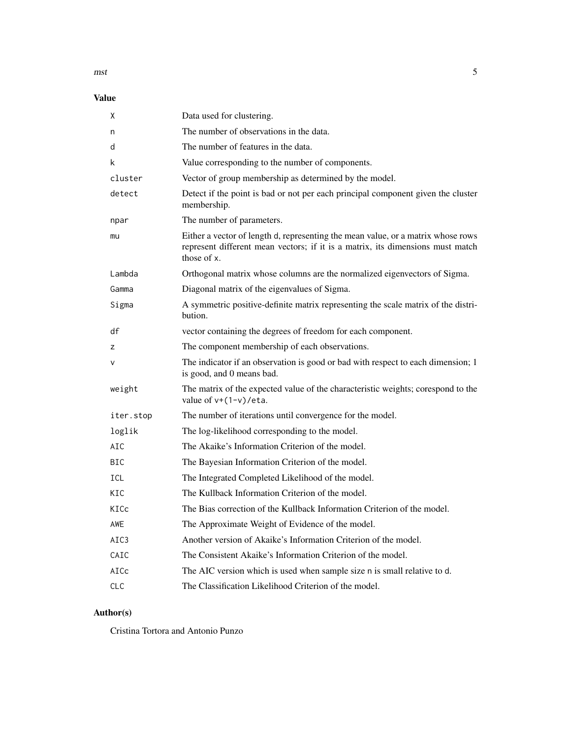$m<sub>5</sub>$  5

#### Value

| χ          | Data used for clustering.                                                                                                                                                         |
|------------|-----------------------------------------------------------------------------------------------------------------------------------------------------------------------------------|
| n          | The number of observations in the data.                                                                                                                                           |
| d          | The number of features in the data.                                                                                                                                               |
| k          | Value corresponding to the number of components.                                                                                                                                  |
| cluster    | Vector of group membership as determined by the model.                                                                                                                            |
| detect     | Detect if the point is bad or not per each principal component given the cluster<br>membership.                                                                                   |
| npar       | The number of parameters.                                                                                                                                                         |
| mu         | Either a vector of length d, representing the mean value, or a matrix whose rows<br>represent different mean vectors; if it is a matrix, its dimensions must match<br>those of x. |
| Lambda     | Orthogonal matrix whose columns are the normalized eigenvectors of Sigma.                                                                                                         |
| Gamma      | Diagonal matrix of the eigenvalues of Sigma.                                                                                                                                      |
| Sigma      | A symmetric positive-definite matrix representing the scale matrix of the distri-<br>bution.                                                                                      |
| df         | vector containing the degrees of freedom for each component.                                                                                                                      |
| Z          | The component membership of each observations.                                                                                                                                    |
| V          | The indicator if an observation is good or bad with respect to each dimension; 1<br>is good, and 0 means bad.                                                                     |
| weight     | The matrix of the expected value of the characteristic weights; corespond to the<br>value of $v+(1-v)/eta$ .                                                                      |
| iter.stop  | The number of iterations until convergence for the model.                                                                                                                         |
| loglik     | The log-likelihood corresponding to the model.                                                                                                                                    |
| AIC        | The Akaike's Information Criterion of the model.                                                                                                                                  |
| BIC        | The Bayesian Information Criterion of the model.                                                                                                                                  |
| ICL        | The Integrated Completed Likelihood of the model.                                                                                                                                 |
| KIC        | The Kullback Information Criterion of the model.                                                                                                                                  |
| KICc       | The Bias correction of the Kullback Information Criterion of the model.                                                                                                           |
| AWE        | The Approximate Weight of Evidence of the model.                                                                                                                                  |
| AIC3       | Another version of Akaike's Information Criterion of the model.                                                                                                                   |
| CAIC       | The Consistent Akaike's Information Criterion of the model.                                                                                                                       |
| AICc       | The AIC version which is used when sample size n is small relative to d.                                                                                                          |
| <b>CLC</b> | The Classification Likelihood Criterion of the model.                                                                                                                             |

#### Author(s)

Cristina Tortora and Antonio Punzo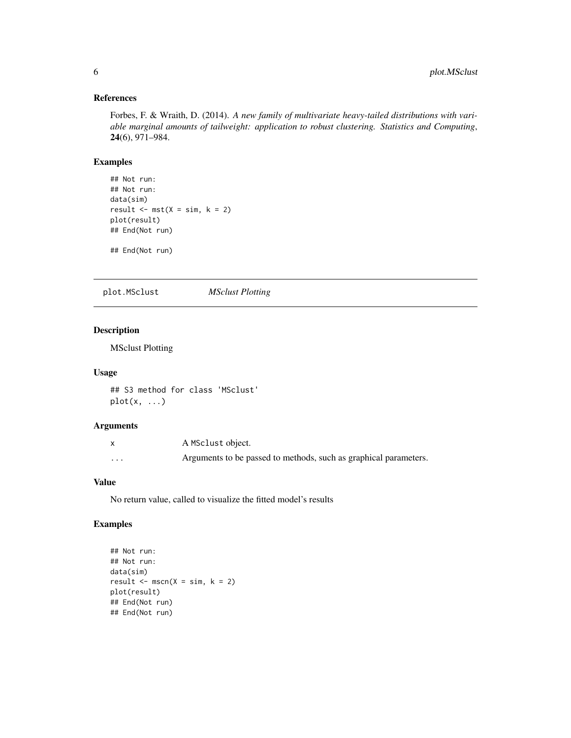#### <span id="page-5-0"></span>References

Forbes, F. & Wraith, D. (2014). *A new family of multivariate heavy-tailed distributions with variable marginal amounts of tailweight: application to robust clustering. Statistics and Computing*, 24(6), 971–984.

#### Examples

```
## Not run:
## Not run:
data(sim)
result \leq -mst(X = sim, k = 2)plot(result)
## End(Not run)
```
## End(Not run)

plot.MSclust *MSclust Plotting*

#### Description

MSclust Plotting

#### Usage

## S3 method for class 'MSclust'  $plot(x, \ldots)$ 

#### Arguments

|          | A MSclust object.                                                |
|----------|------------------------------------------------------------------|
| $\cdots$ | Arguments to be passed to methods, such as graphical parameters. |

#### Value

No return value, called to visualize the fitted model's results

#### Examples

```
## Not run:
## Not run:
data(sim)
result \leq mscn(X = \sin k, k = 2)
plot(result)
## End(Not run)
## End(Not run)
```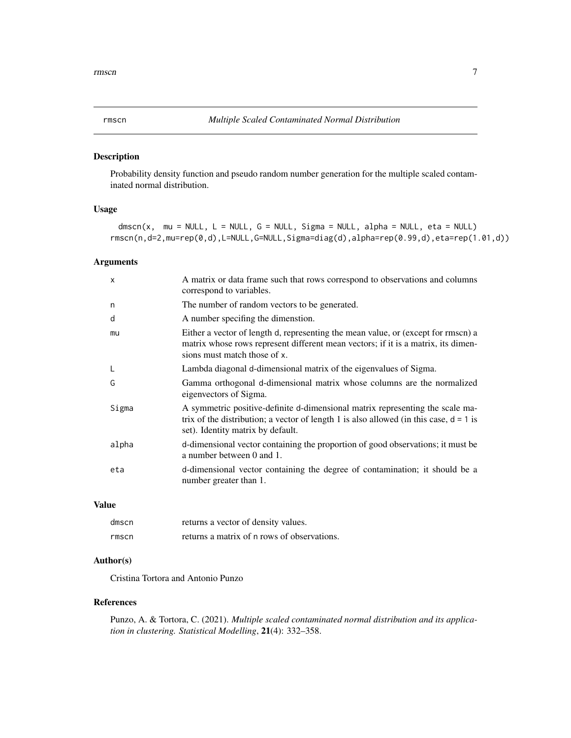#### <span id="page-6-0"></span>Description

Probability density function and pseudo random number generation for the multiple scaled contaminated normal distribution.

#### Usage

dmscn(x, mu = NULL, L = NULL, G = NULL, Sigma = NULL, alpha = NULL, eta = NULL) rmscn(n,d=2,mu=rep(0,d),L=NULL,G=NULL,Sigma=diag(d),alpha=rep(0.99,d),eta=rep(1.01,d))

#### Arguments

| X     | A matrix or data frame such that rows correspond to observations and columns<br>correspond to variables.                                                                                                       |
|-------|----------------------------------------------------------------------------------------------------------------------------------------------------------------------------------------------------------------|
| n     | The number of random vectors to be generated.                                                                                                                                                                  |
| d     | A number specifing the dimenstion.                                                                                                                                                                             |
| mu    | Either a vector of length d, representing the mean value, or (except for rmscn) a<br>matrix whose rows represent different mean vectors; if it is a matrix, its dimen-<br>sions must match those of x.         |
| L     | Lambda diagonal d-dimensional matrix of the eigenvalues of Sigma.                                                                                                                                              |
| G     | Gamma orthogonal d-dimensional matrix whose columns are the normalized<br>eigenvectors of Sigma.                                                                                                               |
| Sigma | A symmetric positive-definite d-dimensional matrix representing the scale ma-<br>trix of the distribution; a vector of length 1 is also allowed (in this case, $d = 1$ is<br>set). Identity matrix by default. |
| alpha | d-dimensional vector containing the proportion of good observations; it must be<br>a number between 0 and 1.                                                                                                   |
| eta   | d-dimensional vector containing the degree of contamination; it should be a<br>number greater than 1.                                                                                                          |

#### Value

| dmscn | returns a vector of density values.         |
|-------|---------------------------------------------|
| rmscn | returns a matrix of n rows of observations. |

#### Author(s)

Cristina Tortora and Antonio Punzo

#### References

Punzo, A. & Tortora, C. (2021). *Multiple scaled contaminated normal distribution and its application in clustering. Statistical Modelling*, 21(4): 332–358.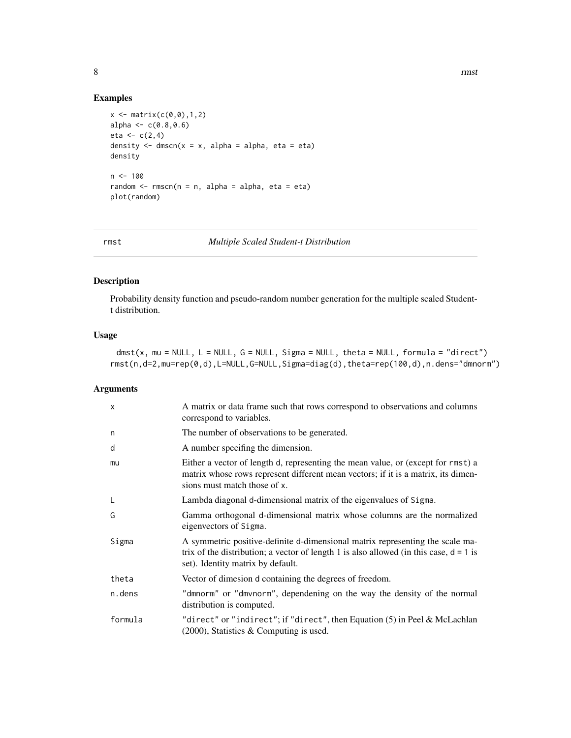#### Examples

```
x \leftarrow \text{matrix}(c(0, 0), 1, 2)alpha \leq c(0.8, 0.6)eta < -c(2, 4)density \leq dmscn(x = x, alpha = alpha, eta = eta)
density
n < - 100random \leq rmscn(n = n, alpha = alpha, eta = eta)
plot(random)
```
rmst *Multiple Scaled Student-t Distribution*

#### Description

Probability density function and pseudo-random number generation for the multiple scaled Studentt distribution.

#### Usage

 $dmst(x, mu = NULL, L = NULL, G = NULL, Sigma = NULL, theta = NULL, formula = "direct")$ rmst(n,d=2,mu=rep(0,d),L=NULL,G=NULL,Sigma=diag(d),theta=rep(100,d),n.dens="dmnorm")

#### Arguments

| $\mathsf{x}$ | A matrix or data frame such that rows correspond to observations and columns<br>correspond to variables.                                                                                                       |
|--------------|----------------------------------------------------------------------------------------------------------------------------------------------------------------------------------------------------------------|
| n            | The number of observations to be generated.                                                                                                                                                                    |
| d            | A number specifing the dimension.                                                                                                                                                                              |
| mu           | Either a vector of length d, representing the mean value, or (except for rmst) a<br>matrix whose rows represent different mean vectors; if it is a matrix, its dimen-<br>sions must match those of x.          |
| L            | Lambda diagonal d-dimensional matrix of the eigenvalues of Sigma.                                                                                                                                              |
| G            | Gamma orthogonal d-dimensional matrix whose columns are the normalized<br>eigenvectors of Sigma.                                                                                                               |
| Sigma        | A symmetric positive-definite d-dimensional matrix representing the scale ma-<br>trix of the distribution; a vector of length 1 is also allowed (in this case, $d = 1$ is<br>set). Identity matrix by default. |
| theta        | Vector of dimesion d containing the degrees of freedom.                                                                                                                                                        |
| n.dens       | "dmnorm" or "dmvnorm", dependening on the way the density of the normal<br>distribution is computed.                                                                                                           |
| formula      | "direct" or "indirect"; if "direct", then Equation (5) in Peel & McLachlan<br>$(2000)$ , Statistics & Computing is used.                                                                                       |

<span id="page-7-0"></span>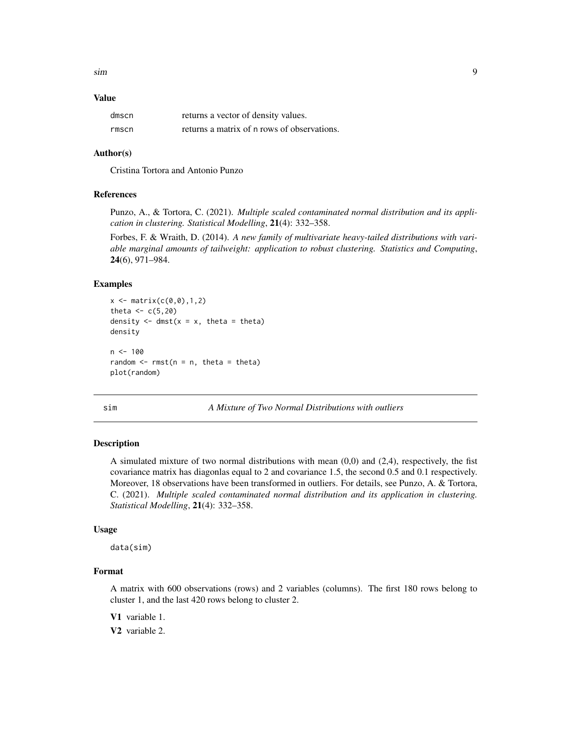<span id="page-8-0"></span>sim 9

#### Value

| dmscn | returns a vector of density values.         |
|-------|---------------------------------------------|
| rmscn | returns a matrix of n rows of observations. |

#### Author(s)

Cristina Tortora and Antonio Punzo

#### References

Punzo, A., & Tortora, C. (2021). *Multiple scaled contaminated normal distribution and its application in clustering. Statistical Modelling*, 21(4): 332–358.

Forbes, F. & Wraith, D. (2014). *A new family of multivariate heavy-tailed distributions with variable marginal amounts of tailweight: application to robust clustering. Statistics and Computing*, 24(6), 971–984.

#### Examples

```
x \le - matrix(c(0, 0), 1, 2)
theta <-c(5,20)density \leq dmst(x = x, theta = theta)
density
n < -100random \leq rmst(n = n, theta = theta)
plot(random)
```
sim *A Mixture of Two Normal Distributions with outliers*

#### Description

A simulated mixture of two normal distributions with mean  $(0,0)$  and  $(2,4)$ , respectively, the fist covariance matrix has diagonlas equal to 2 and covariance 1.5, the second 0.5 and 0.1 respectively. Moreover, 18 observations have been transformed in outliers. For details, see Punzo, A. & Tortora, C. (2021). *Multiple scaled contaminated normal distribution and its application in clustering. Statistical Modelling*, 21(4): 332–358.

#### Usage

data(sim)

#### Format

A matrix with 600 observations (rows) and 2 variables (columns). The first 180 rows belong to cluster 1, and the last 420 rows belong to cluster 2.

V1 variable 1.

V2 variable 2.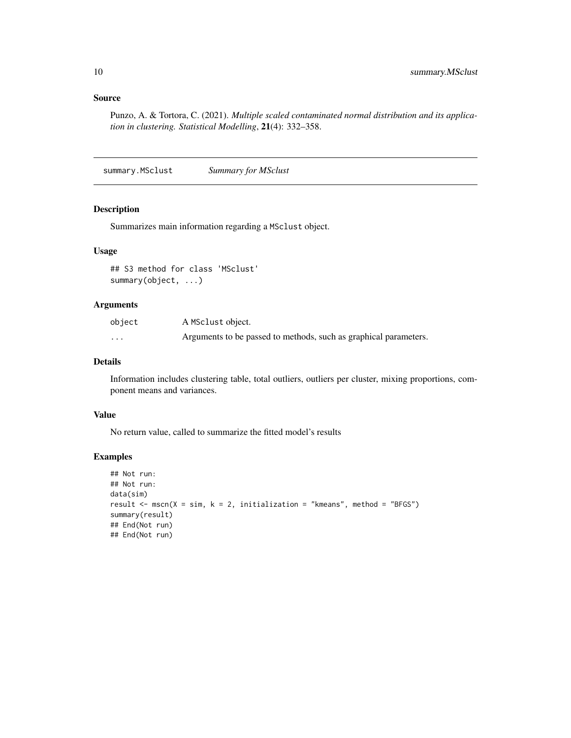#### <span id="page-9-0"></span>Source

Punzo, A. & Tortora, C. (2021). *Multiple scaled contaminated normal distribution and its application in clustering. Statistical Modelling*, 21(4): 332–358.

summary.MSclust *Summary for MSclust*

#### Description

Summarizes main information regarding a MSclust object.

#### Usage

```
## S3 method for class 'MSclust'
summary(object, ...)
```
#### Arguments

| object   | A MSclust object.                                                |
|----------|------------------------------------------------------------------|
| $\cdots$ | Arguments to be passed to methods, such as graphical parameters. |

#### Details

Information includes clustering table, total outliers, outliers per cluster, mixing proportions, component means and variances.

#### Value

No return value, called to summarize the fitted model's results

#### Examples

```
## Not run:
## Not run:
data(sim)
result \leq mscn(X = sim, k = 2, initialization = "kmeans", method = "BFGS")
summary(result)
## End(Not run)
## End(Not run)
```